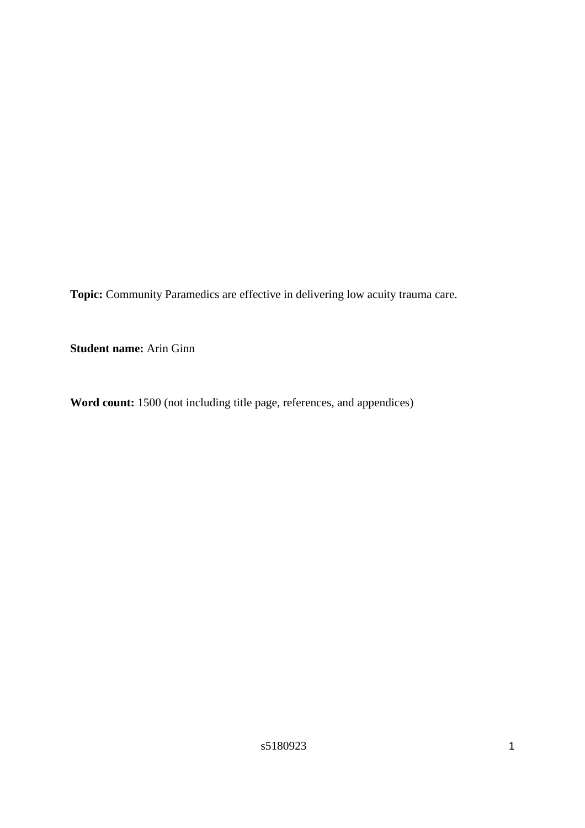**Topic:** Community Paramedics are effective in delivering low acuity trauma care.

**Student name:** Arin Ginn

**Word count:** 1500 (not including title page, references, and appendices)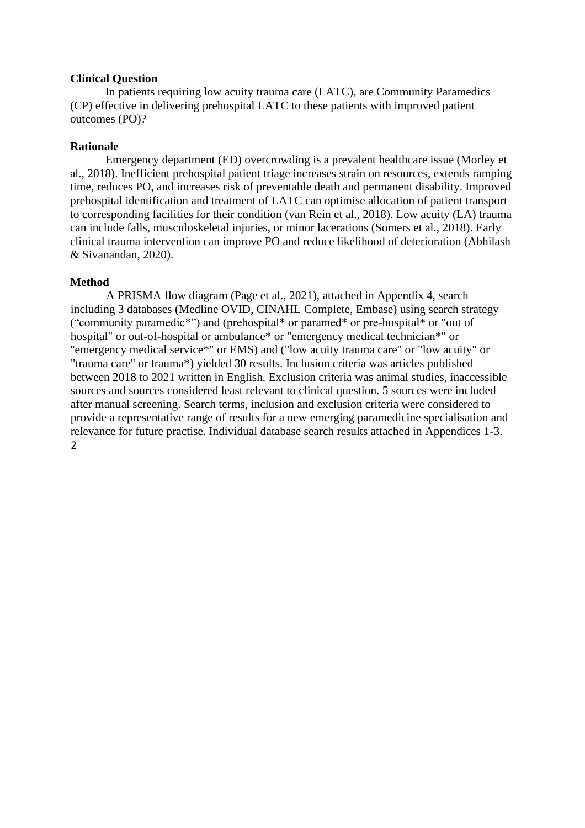### **Clinical Question**

In patients requiring low acuity trauma care (LATC), are Community Paramedics (CP) effective in delivering prehospital LATC to these patients with improved patient outcomes (PO)?

## **Rationale**

Emergency department (ED) overcrowding is a prevalent healthcare issue (Morley et al., 2018). Inefficient prehospital patient triage increases strain on resources, extends ramping time, reduces PO, and increases risk of preventable death and permanent disability. Improved prehospital identification and treatment of LATC can optimise allocation of patient transport to corresponding facilities for their condition (van Rein et al., 2018). Low acuity (LA) trauma can include falls, musculoskeletal injuries, or minor lacerations (Somers et al., 2018). Early clinical trauma intervention can improve PO and reduce likelihood of deterioration (Abhilash & Sivanandan, 2020).

#### **Method**

A PRISMA flow diagram (Page et al., 2021), attached in Appendix 4, search including 3 databases (Medline OVID, CINAHL Complete, Embase) using search strategy ("community paramedic\*") and (prehospital\* or paramed\* or pre-hospital\* or "out of hospital" or out-of-hospital or ambulance\* or "emergency medical technician\*" or "emergency medical service\*" or EMS) and ("low acuity trauma care" or "low acuity" or "trauma care" or trauma\*) yielded 30 results. Inclusion criteria was articles published between 2018 to 2021 written in English. Exclusion criteria was animal studies, inaccessible sources and sources considered least relevant to clinical question. 5 sources were included after manual screening. Search terms, inclusion and exclusion criteria were considered to provide a representative range of results for a new emerging paramedicine specialisation and relevance for future practise. Individual database search results attached in Appendices 1-3. 2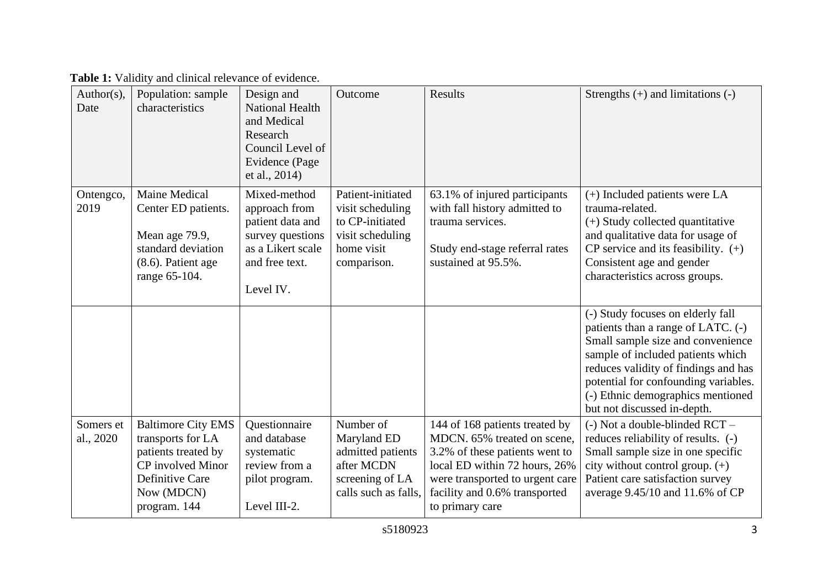| Author(s),<br>Date     | Population: sample<br>characteristics                                                                                                       | Design and<br><b>National Health</b><br>and Medical<br>Research<br>Council Level of<br>Evidence (Page<br>et al., 2014)    | Outcome                                                                                                   | Results                                                                                                                                                                                                                 | Strengths $(+)$ and limitations $(-)$                                                                                                                                                                                                                                                                 |
|------------------------|---------------------------------------------------------------------------------------------------------------------------------------------|---------------------------------------------------------------------------------------------------------------------------|-----------------------------------------------------------------------------------------------------------|-------------------------------------------------------------------------------------------------------------------------------------------------------------------------------------------------------------------------|-------------------------------------------------------------------------------------------------------------------------------------------------------------------------------------------------------------------------------------------------------------------------------------------------------|
| Ontengco,<br>2019      | <b>Maine Medical</b><br>Center ED patients.<br>Mean age 79.9,<br>standard deviation<br>$(8.6)$ . Patient age<br>range 65-104.               | Mixed-method<br>approach from<br>patient data and<br>survey questions<br>as a Likert scale<br>and free text.<br>Level IV. | Patient-initiated<br>visit scheduling<br>to CP-initiated<br>visit scheduling<br>home visit<br>comparison. | 63.1% of injured participants<br>with fall history admitted to<br>trauma services.<br>Study end-stage referral rates<br>sustained at 95.5%.                                                                             | $(+)$ Included patients were LA<br>trauma-related.<br>(+) Study collected quantitative<br>and qualitative data for usage of<br>$CP$ service and its feasibility. $(+)$<br>Consistent age and gender<br>characteristics across groups.                                                                 |
|                        |                                                                                                                                             |                                                                                                                           |                                                                                                           |                                                                                                                                                                                                                         | (-) Study focuses on elderly fall<br>patients than a range of LATC. (-)<br>Small sample size and convenience<br>sample of included patients which<br>reduces validity of findings and has<br>potential for confounding variables.<br>(-) Ethnic demographics mentioned<br>but not discussed in-depth. |
| Somers et<br>al., 2020 | <b>Baltimore City EMS</b><br>transports for LA<br>patients treated by<br>CP involved Minor<br>Definitive Care<br>Now (MDCN)<br>program. 144 | Questionnaire<br>and database<br>systematic<br>review from a<br>pilot program.<br>Level III-2.                            | Number of<br>Maryland ED<br>admitted patients<br>after MCDN<br>screening of LA<br>calls such as falls.    | 144 of 168 patients treated by<br>MDCN, 65% treated on scene.<br>3.2% of these patients went to<br>local ED within 72 hours, 26%<br>were transported to urgent care<br>facility and 0.6% transported<br>to primary care | $(-)$ Not a double-blinded RCT $-$<br>reduces reliability of results. (-)<br>Small sample size in one specific<br>city without control group. (+)<br>Patient care satisfaction survey<br>average 9.45/10 and 11.6% of CP                                                                              |

Table 1: Validity and clinical relevance of evidence.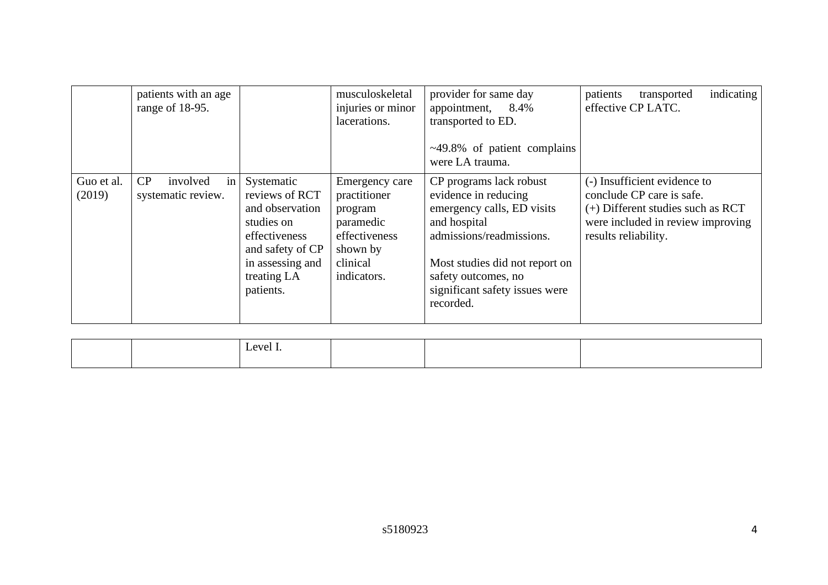|                      | patients with an age<br>range of 18-95.    |                                                                                                                                                    | musculoskeletal<br>injuries or minor<br>lacerations.                                                           | provider for same day<br>appointment, 8.4%<br>transported to ED.<br>$\sim$ 49.8% of patient complains<br>were LA trauma.                                                                                                          | indicating<br>patients<br>transported<br>effective CP LATC.                                                                                                   |
|----------------------|--------------------------------------------|----------------------------------------------------------------------------------------------------------------------------------------------------|----------------------------------------------------------------------------------------------------------------|-----------------------------------------------------------------------------------------------------------------------------------------------------------------------------------------------------------------------------------|---------------------------------------------------------------------------------------------------------------------------------------------------------------|
| Guo et al.<br>(2019) | CP<br>in<br>involved<br>systematic review. | Systematic<br>reviews of RCT<br>and observation<br>studies on<br>effectiveness<br>and safety of CP<br>in assessing and<br>treating LA<br>patients. | Emergency care<br>practitioner<br>program<br>paramedic<br>effectiveness<br>shown by<br>clinical<br>indicators. | CP programs lack robust<br>evidence in reducing<br>emergency calls, ED visits<br>and hospital<br>admissions/readmissions.<br>Most studies did not report on<br>safety outcomes, no<br>significant safety issues were<br>recorded. | (-) Insufficient evidence to<br>conclude CP care is safe.<br>$(+)$ Different studies such as RCT<br>were included in review improving<br>results reliability. |

|  | -<br>evel. |  |  |
|--|------------|--|--|
|  |            |  |  |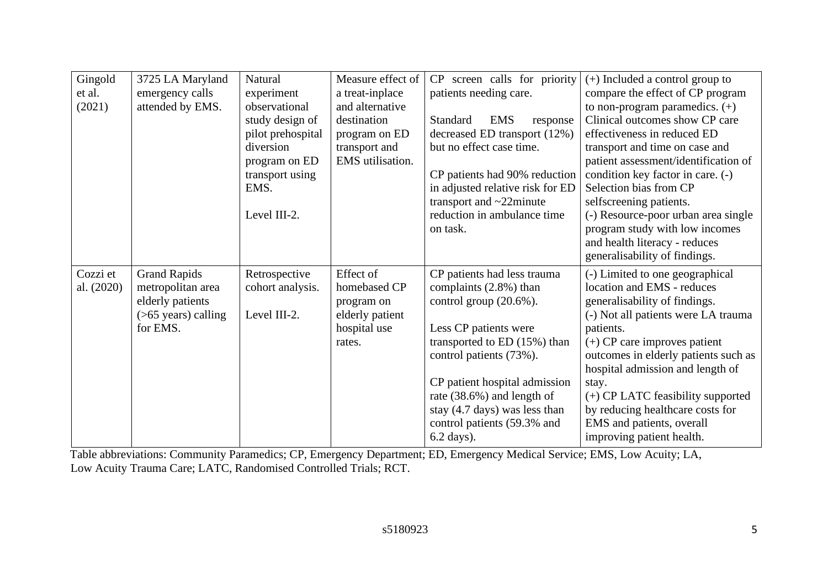| Gingold    | 3725 LA Maryland       | Natural           | Measure effect of | CP screen calls for priority              | $(+)$ Included a control group to    |
|------------|------------------------|-------------------|-------------------|-------------------------------------------|--------------------------------------|
| et al.     | emergency calls        | experiment        | a treat-inplace   | patients needing care.                    | compare the effect of CP program     |
| (2021)     | attended by EMS.       | observational     | and alternative   |                                           | to non-program paramedics. $(+)$     |
|            |                        | study design of   | destination       | <b>Standard</b><br><b>EMS</b><br>response | Clinical outcomes show CP care       |
|            |                        | pilot prehospital | program on ED     | decreased ED transport (12%)              | effectiveness in reduced ED          |
|            |                        | diversion         | transport and     | but no effect case time.                  | transport and time on case and       |
|            |                        | program on ED     | EMS utilisation.  |                                           | patient assessment/identification of |
|            |                        | transport using   |                   | CP patients had 90% reduction             | condition key factor in care. (-)    |
|            |                        | EMS.              |                   | in adjusted relative risk for ED          | Selection bias from CP               |
|            |                        |                   |                   | transport and ~22minute                   | selfscreening patients.              |
|            |                        | Level III-2.      |                   | reduction in ambulance time               | (-) Resource-poor urban area single  |
|            |                        |                   |                   | on task.                                  | program study with low incomes       |
|            |                        |                   |                   |                                           | and health literacy - reduces        |
|            |                        |                   |                   |                                           | generalisability of findings.        |
| Cozzi et   | <b>Grand Rapids</b>    | Retrospective     | Effect of         | CP patients had less trauma               | (-) Limited to one geographical      |
| al. (2020) | metropolitan area      | cohort analysis.  | homebased CP      | complaints (2.8%) than                    | location and EMS - reduces           |
|            | elderly patients       |                   | program on        | control group $(20.6\%)$ .                | generalisability of findings.        |
|            | $($ >65 years) calling | Level III-2.      | elderly patient   |                                           | (-) Not all patients were LA trauma  |
|            | for EMS.               |                   | hospital use      | Less CP patients were                     | patients.                            |
|            |                        |                   | rates.            | transported to $ED(15%)$ than             | $(+)$ CP care improves patient       |
|            |                        |                   |                   | control patients (73%).                   | outcomes in elderly patients such as |
|            |                        |                   |                   |                                           | hospital admission and length of     |
|            |                        |                   |                   | CP patient hospital admission             | stay.                                |
|            |                        |                   |                   | rate (38.6%) and length of                | (+) CP LATC feasibility supported    |
|            |                        |                   |                   | stay (4.7 days) was less than             | by reducing healthcare costs for     |
|            |                        |                   |                   | control patients (59.3% and               | EMS and patients, overall            |
|            |                        |                   |                   | 6.2 days).                                | improving patient health.            |

Table abbreviations: Community Paramedics; CP, Emergency Department; ED, Emergency Medical Service; EMS, Low Acuity; LA, Low Acuity Trauma Care; LATC, Randomised Controlled Trials; RCT.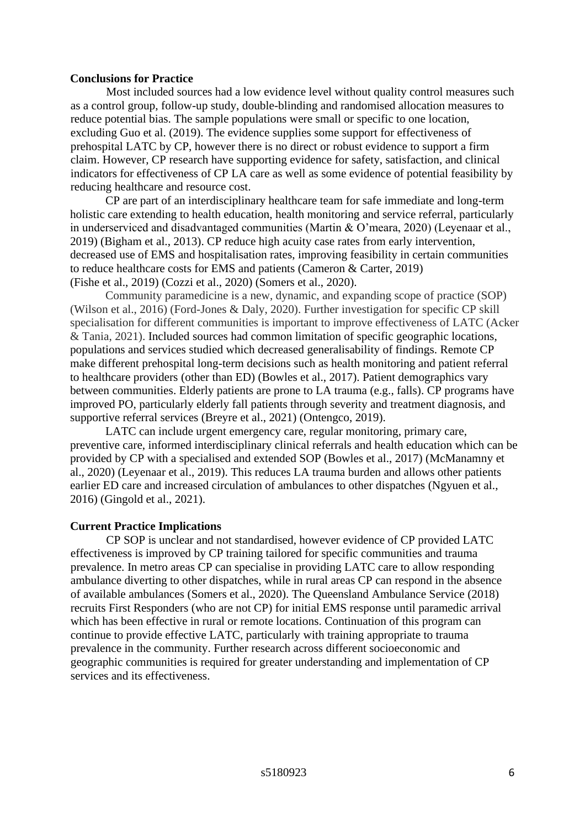## **Conclusions for Practice**

Most included sources had a low evidence level without quality control measures such as a control group, follow-up study, double-blinding and randomised allocation measures to reduce potential bias. The sample populations were small or specific to one location, excluding Guo et al. (2019). The evidence supplies some support for effectiveness of prehospital LATC by CP, however there is no direct or robust evidence to support a firm claim. However, CP research have supporting evidence for safety, satisfaction, and clinical indicators for effectiveness of CP LA care as well as some evidence of potential feasibility by reducing healthcare and resource cost.

CP are part of an interdisciplinary healthcare team for safe immediate and long-term holistic care extending to health education, health monitoring and service referral, particularly in underserviced and disadvantaged communities (Martin & O'meara, 2020) (Leyenaar et al., 2019) (Bigham et al., 2013). CP reduce high acuity case rates from early intervention, decreased use of EMS and hospitalisation rates, improving feasibility in certain communities to reduce healthcare costs for EMS and patients (Cameron & Carter, 2019) (Fishe et al., 2019) (Cozzi et al., 2020) (Somers et al., 2020).

Community paramedicine is a new, dynamic, and expanding scope of practice (SOP) (Wilson et al., 2016) (Ford-Jones & Daly, 2020). Further investigation for specific CP skill specialisation for different communities is important to improve effectiveness of LATC (Acker & Tania, 2021). Included sources had common limitation of specific geographic locations, populations and services studied which decreased generalisability of findings. Remote CP make different prehospital long-term decisions such as health monitoring and patient referral to healthcare providers (other than ED) (Bowles et al., 2017). Patient demographics vary between communities. Elderly patients are prone to LA trauma (e.g., falls). CP programs have improved PO, particularly elderly fall patients through severity and treatment diagnosis, and supportive referral services (Breyre et al., 2021) (Ontengco, 2019).

LATC can include urgent emergency care, regular monitoring, primary care, preventive care, informed interdisciplinary clinical referrals and health education which can be provided by CP with a specialised and extended SOP (Bowles et al., 2017) (McManamny et al., 2020) (Leyenaar et al., 2019). This reduces LA trauma burden and allows other patients earlier ED care and increased circulation of ambulances to other dispatches (Ngyuen et al., 2016) (Gingold et al., 2021).

#### **Current Practice Implications**

CP SOP is unclear and not standardised, however evidence of CP provided LATC effectiveness is improved by CP training tailored for specific communities and trauma prevalence. In metro areas CP can specialise in providing LATC care to allow responding ambulance diverting to other dispatches, while in rural areas CP can respond in the absence of available ambulances (Somers et al., 2020). The Queensland Ambulance Service (2018) recruits First Responders (who are not CP) for initial EMS response until paramedic arrival which has been effective in rural or remote locations. Continuation of this program can continue to provide effective LATC, particularly with training appropriate to trauma prevalence in the community. Further research across different socioeconomic and geographic communities is required for greater understanding and implementation of CP services and its effectiveness.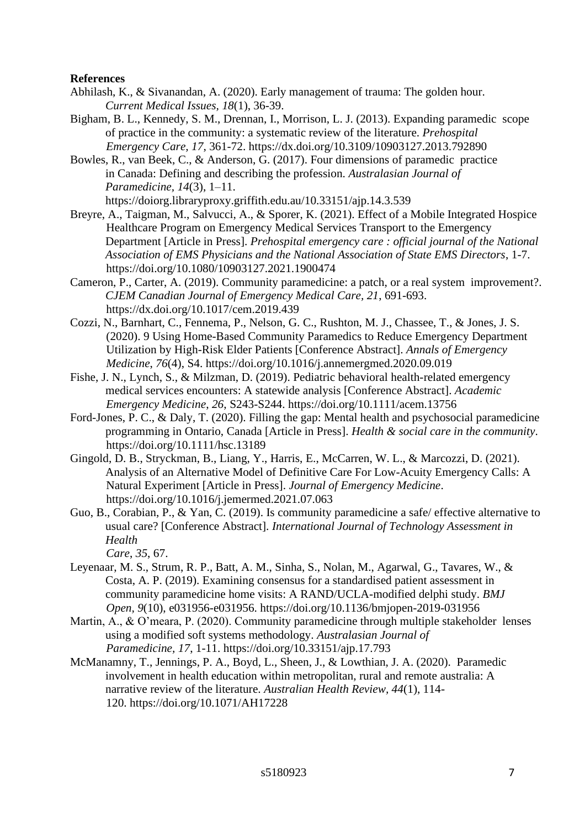## **References**

- Abhilash, K., & Sivanandan, A. (2020). Early management of trauma: The golden hour. *Current Medical Issues, 18*(1), 36-39.
- Bigham, B. L., Kennedy, S. M., Drennan, I., Morrison, L. J. (2013). Expanding paramedic scope of practice in the community: a systematic review of the literature. *Prehospital Emergency Care, 17*, 361-72. https://dx.doi.org/10.3109/10903127.2013.792890
- Bowles, R., van Beek, C., & Anderson, G. (2017). Four dimensions of paramedic practice in Canada: Defining and describing the profession. *Australasian Journal of Paramedicine, 14*(3), 1–11.

https://doiorg.libraryproxy.griffith.edu.au/10.33151/ajp.14.3.539

- Breyre, A., Taigman, M., Salvucci, A., & Sporer, K. (2021). Effect of a Mobile Integrated Hospice Healthcare Program on Emergency Medical Services Transport to the Emergency Department [Article in Press]. *Prehospital emergency care : official journal of the National Association of EMS Physicians and the National Association of State EMS Directors*, 1-7. https://doi.org/10.1080/10903127.2021.1900474
- Cameron, P., Carter, A. (2019). Community paramedicine: a patch, or a real system improvement?. *CJEM Canadian Journal of Emergency Medical Care, 21*, 691-693. https://dx.doi.org/10.1017/cem.2019.439
- Cozzi, N., Barnhart, C., Fennema, P., Nelson, G. C., Rushton, M. J., Chassee, T., & Jones, J. S. (2020). 9 Using Home-Based Community Paramedics to Reduce Emergency Department Utilization by High-Risk Elder Patients [Conference Abstract]. *Annals of Emergency Medicine*, *76*(4), S4. https://doi.org/10.1016/j.annemergmed.2020.09.019
- Fishe, J. N., Lynch, S., & Milzman, D. (2019). Pediatric behavioral health-related emergency medical services encounters: A statewide analysis [Conference Abstract]. *Academic Emergency Medicine*, *26*, S243-S244. https://doi.org/10.1111/acem.13756
- Ford-Jones, P. C., & Daly, T. (2020). Filling the gap: Mental health and psychosocial paramedicine programming in Ontario, Canada [Article in Press]. *Health & social care in the community*. https://doi.org/10.1111/hsc.13189
- Gingold, D. B., Stryckman, B., Liang, Y., Harris, E., McCarren, W. L., & Marcozzi, D. (2021). Analysis of an Alternative Model of Definitive Care For Low-Acuity Emergency Calls: A Natural Experiment [Article in Press]. *Journal of Emergency Medicine*. https://doi.org/10.1016/j.jemermed.2021.07.063
- Guo, B., Corabian, P., & Yan, C. (2019). Is community paramedicine a safe/ effective alternative to usual care? [Conference Abstract]. *International Journal of Technology Assessment in Health Care*, *35*, 67.
- Leyenaar, M. S., Strum, R. P., Batt, A. M., Sinha, S., Nolan, M., Agarwal, G., Tavares, W., & Costa, A. P. (2019). Examining consensus for a standardised patient assessment in community paramedicine home visits: A RAND/UCLA-modified delphi study. *BMJ Open, 9*(10), e031956-e031956[.](https://doi.org/10.1136/bmjopen-2019-031956) <https://doi.org/10.1136/bmjopen-2019-031956>
- Martin, A., & O'meara, P. (2020). Community paramedicine through multiple stakeholder lenses using a modified soft systems methodology. *Australasian Journal of Paramedicine, 17*, 1-11. https://doi.org/10.33151/ajp.17.793
- McManamny, T., Jennings, P. A., Boyd, L., Sheen, J., & Lowthian, J. A. (2020). Paramedic involvement in health education within metropolitan, rural and remote australia: A narrative review of the literature. *Australian Health Review, 44*(1), 114- 120. https://doi.org/10.1071/AH17228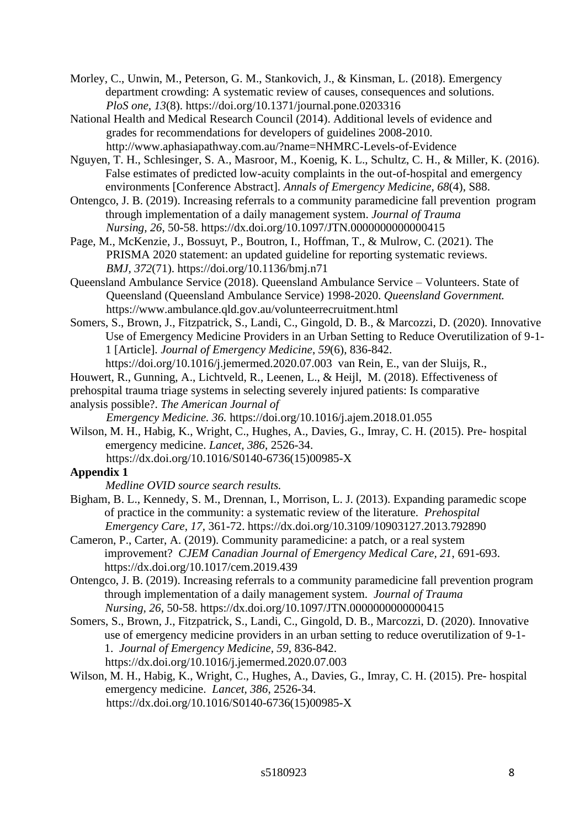Morley, C., Unwin, M., Peterson, G. M., Stankovich, J., & Kinsman, L. (2018). Emergency department crowding: A systematic review of causes, consequences and solutions. *PloS one, 13*(8). https://doi.org/10.1371/journal.pone.0203316

National Health and Medical Research Council (2014). Additional levels of evidence and grades for recommendations for developers of guidelines 2008-2010. http://www.aphasiapathway.com.au/?name=NHMRC-Levels-of-Evidence

Nguyen, T. H., Schlesinger, S. A., Masroor, M., Koenig, K. L., Schultz, C. H., & Miller, K. (2016). False estimates of predicted low-acuity complaints in the out-of-hospital and emergency environments [Conference Abstract]. *Annals of Emergency Medicine*, *68*(4), S88.

Ontengco, J. B. (2019). Increasing referrals to a community paramedicine fall prevention program through implementation of a daily management system. *Journal of Trauma Nursing, 26*, 50-58. https://dx.doi.org/10.1097/JTN.0000000000000415

Page, M., McKenzie, J., Bossuyt, P., Boutron, I., Hoffman, T., & Mulrow, C. (2021). The PRISMA 2020 statement: an updated guideline for reporting systematic reviews. *BMJ, 372*(71). https://doi.org/10.1136/bmj.n71

Queensland Ambulance Service (2018). Queensland Ambulance Service – Volunteers. State of Queensland (Queensland Ambulance Service) 1998-2020. *Queensland Government.* https://www.ambulance.qld.gov.au/volunteerrecruitment.html

Somers, S., Brown, J., Fitzpatrick, S., Landi, C., Gingold, D. B., & Marcozzi, D. (2020). Innovative Use of Emergency Medicine Providers in an Urban Setting to Reduce Overutilization of 9-1- 1 [Article]. *Journal of Emergency Medicine*, *59*(6), 836-842.

https://doi.org/10.1016/j.jemermed.2020.07.003 van Rein, E., van der Sluijs, R.,

Houwert, R., Gunning, A., Lichtveld, R., Leenen, L., & Heijl, M. (2018). Effectiveness of

prehospital trauma triage systems in selecting severely injured patients: Is comparative analysis possible?. *The American Journal of* 

*Emergency Medicine. 36.* https://doi.org/10.1016/j.ajem.2018.01.055

Wilson, M. H., Habig, K., Wright, C., Hughes, A., Davies, G., Imray, C. H. (2015). Pre- hospital emergency medicine. *Lancet, 386*, 2526-34. https://dx.doi.org/10.1016/S0140-6736(15)00985-X

# **Appendix 1**

*Medline OVID source search results.* 

Bigham, B. L., Kennedy, S. M., Drennan, I., Morrison, L. J. (2013). Expanding paramedic scope of practice in the community: a systematic review of the literature. *Prehospital Emergency Care, 17*, 361-72.<https://dx.doi.org/10.3109/10903127.2013.792890>

Cameron, P., Carter, A. (2019). Community paramedicine: a patch, or a real system improvement? *CJEM Canadian Journal of Emergency Medical Care, 21*, 691-693. <https://dx.doi.org/10.1017/cem.2019.439>

Ontengco, J. B. (2019). Increasing referrals to a community paramedicine fall prevention program through implementation of a daily management system. *Journal of Trauma Nursing, 26*, 50-58.<https://dx.doi.org/10.1097/JTN.0000000000000415>

Somers, S., Brown, J., Fitzpatrick, S., Landi, C., Gingold, D. B., Marcozzi, D. (2020). Innovative use of emergency medicine providers in an urban setting to reduce overutilization of 9-1- 1. *Journal of Emergency Medicine, 59*, 836-842. <https://dx.doi.org/10.1016/j.jemermed.2020.07.003>

Wilson, M. H., Habig, K., Wright, C., Hughes, A., Davies, G., Imray, C. H. (2015). Pre- hospital emergency medicine. *Lancet, 386*, 2526-34. [https://dx.doi.org/10.1016/S0140-6736\(15\)00985-X](https://dx.doi.org/10.1016/S0140-6736(15)00985-X)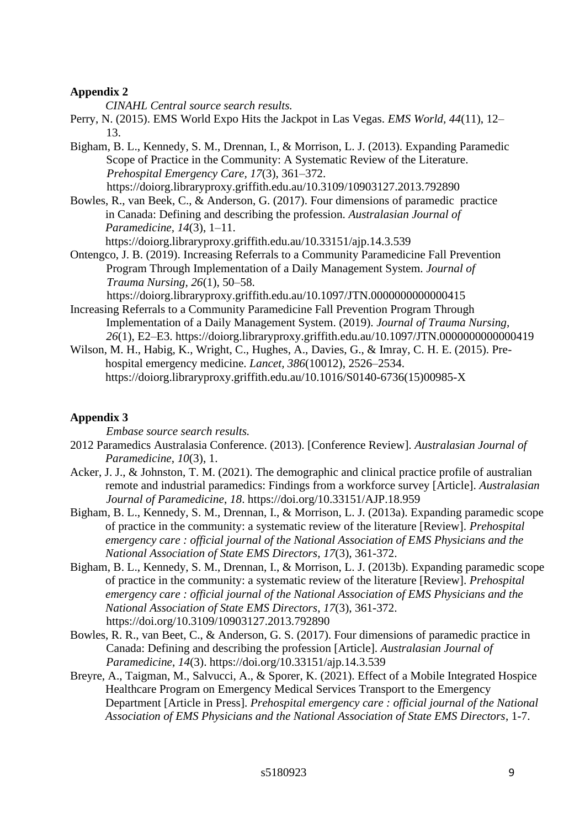## **Appendix 2**

*CINAHL Central source search results.* 

- Perry, N. (2015). EMS World Expo Hits the Jackpot in Las Vegas. *EMS World, 44*(11), 12– 13.
- Bigham, B. L., Kennedy, S. M., Drennan, I., & Morrison, L. J. (2013). Expanding Paramedic Scope of Practice in the Community: A Systematic Review of the Literature. *Prehospital Emergency Care, 17*(3), 361–372. https://doiorg.libraryproxy.griffith.edu.au/10.3109/10903127.2013.792890
- Bowles, R., van Beek, C., & Anderson, G. (2017). Four dimensions of paramedic practice in Canada: Defining and describing the profession. *Australasian Journal of Paramedicine, 14*(3), 1–11.

https://doiorg.libraryproxy.griffith.edu.au/10.33151/ajp.14.3.539

Ontengco, J. B. (2019). Increasing Referrals to a Community Paramedicine Fall Prevention Program Through Implementation of a Daily Management System. *Journal of Trauma Nursing, 26*(1), 50–58.

https://doiorg.libraryproxy.griffith.edu.au/10.1097/JTN.0000000000000415

- Increasing Referrals to a Community Paramedicine Fall Prevention Program Through Implementation of a Daily Management System. (2019). *Journal of Trauma Nursing, 26*(1), E2–E3. https://doiorg.libraryproxy.griffith.edu.au/10.1097/JTN.0000000000000419
- Wilson, M. H., Habig, K., Wright, C., Hughes, A., Davies, G., & Imray, C. H. E. (2015). Prehospital emergency medicine. *Lancet, 386*(10012), 2526–2534. https://doiorg.libraryproxy.griffith.edu.au/10.1016/S0140-6736(15)00985-X

# **Appendix 3**

*Embase source search results.* 

- 2012 Paramedics Australasia Conference. (2013). [Conference Review]. *Australasian Journal of Paramedicine*, *10*(3), 1.
- Acker, J. J., & Johnston, T. M. (2021). The demographic and clinical practice profile of australian remote and industrial paramedics: Findings from a workforce survey [Article]. *Australasian Journal of Paramedicine*, *18*. https://doi.org/10.33151/AJP.18.959
- Bigham, B. L., Kennedy, S. M., Drennan, I., & Morrison, L. J. (2013a). Expanding paramedic scope of practice in the community: a systematic review of the literature [Review]. *Prehospital emergency care : official journal of the National Association of EMS Physicians and the National Association of State EMS Directors*, *17*(3), 361-372.
- Bigham, B. L., Kennedy, S. M., Drennan, I., & Morrison, L. J. (2013b). Expanding paramedic scope of practice in the community: a systematic review of the literature [Review]. *Prehospital emergency care : official journal of the National Association of EMS Physicians and the National Association of State EMS Directors*, *17*(3), 361-372. https://doi.org/10.3109/10903127.2013.792890
- Bowles, R. R., van Beet, C., & Anderson, G. S. (2017). Four dimensions of paramedic practice in Canada: Defining and describing the profession [Article]. *Australasian Journal of Paramedicine*, *14*(3). https://doi.org/10.33151/ajp.14.3.539
- Breyre, A., Taigman, M., Salvucci, A., & Sporer, K. (2021). Effect of a Mobile Integrated Hospice Healthcare Program on Emergency Medical Services Transport to the Emergency Department [Article in Press]. *Prehospital emergency care : official journal of the National Association of EMS Physicians and the National Association of State EMS Directors*, 1-7.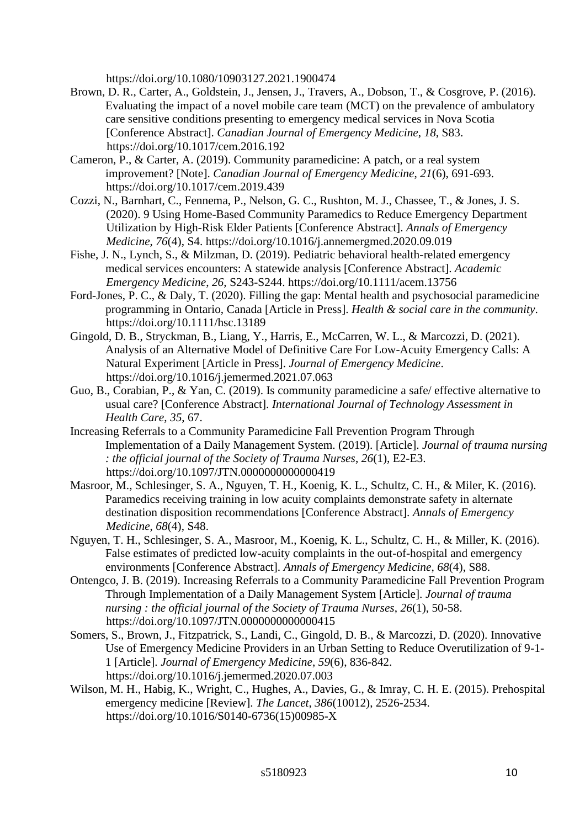https://doi.org/10.1080/10903127.2021.1900474

- Brown, D. R., Carter, A., Goldstein, J., Jensen, J., Travers, A., Dobson, T., & Cosgrove, P. (2016). Evaluating the impact of a novel mobile care team (MCT) on the prevalence of ambulatory care sensitive conditions presenting to emergency medical services in Nova Scotia [Conference Abstract]. *Canadian Journal of Emergency Medicine*, *18*, S83. https://doi.org/10.1017/cem.2016.192
- Cameron, P., & Carter, A. (2019). Community paramedicine: A patch, or a real system improvement? [Note]. *Canadian Journal of Emergency Medicine*, *21*(6), 691-693. https://doi.org/10.1017/cem.2019.439
- Cozzi, N., Barnhart, C., Fennema, P., Nelson, G. C., Rushton, M. J., Chassee, T., & Jones, J. S. (2020). 9 Using Home-Based Community Paramedics to Reduce Emergency Department Utilization by High-Risk Elder Patients [Conference Abstract]. *Annals of Emergency Medicine*, *76*(4), S4. https://doi.org/10.1016/j.annemergmed.2020.09.019
- Fishe, J. N., Lynch, S., & Milzman, D. (2019). Pediatric behavioral health-related emergency medical services encounters: A statewide analysis [Conference Abstract]. *Academic Emergency Medicine*, *26*, S243-S244. https://doi.org/10.1111/acem.13756
- Ford-Jones, P. C., & Daly, T. (2020). Filling the gap: Mental health and psychosocial paramedicine programming in Ontario, Canada [Article in Press]. *Health & social care in the community*. https://doi.org/10.1111/hsc.13189
- Gingold, D. B., Stryckman, B., Liang, Y., Harris, E., McCarren, W. L., & Marcozzi, D. (2021). Analysis of an Alternative Model of Definitive Care For Low-Acuity Emergency Calls: A Natural Experiment [Article in Press]. *Journal of Emergency Medicine*. https://doi.org/10.1016/j.jemermed.2021.07.063
- Guo, B., Corabian, P., & Yan, C. (2019). Is community paramedicine a safe/ effective alternative to usual care? [Conference Abstract]. *International Journal of Technology Assessment in Health Care*, *35*, 67.
- Increasing Referrals to a Community Paramedicine Fall Prevention Program Through Implementation of a Daily Management System. (2019). [Article]. *Journal of trauma nursing : the official journal of the Society of Trauma Nurses*, *26*(1), E2-E3. https://doi.org/10.1097/JTN.0000000000000419
- Masroor, M., Schlesinger, S. A., Nguyen, T. H., Koenig, K. L., Schultz, C. H., & Miler, K. (2016). Paramedics receiving training in low acuity complaints demonstrate safety in alternate destination disposition recommendations [Conference Abstract]. *Annals of Emergency Medicine*, *68*(4), S48.
- Nguyen, T. H., Schlesinger, S. A., Masroor, M., Koenig, K. L., Schultz, C. H., & Miller, K. (2016). False estimates of predicted low-acuity complaints in the out-of-hospital and emergency environments [Conference Abstract]. *Annals of Emergency Medicine*, *68*(4), S88.
- Ontengco, J. B. (2019). Increasing Referrals to a Community Paramedicine Fall Prevention Program Through Implementation of a Daily Management System [Article]. *Journal of trauma nursing : the official journal of the Society of Trauma Nurses*, *26*(1), 50-58. https://doi.org/10.1097/JTN.0000000000000415
- Somers, S., Brown, J., Fitzpatrick, S., Landi, C., Gingold, D. B., & Marcozzi, D. (2020). Innovative Use of Emergency Medicine Providers in an Urban Setting to Reduce Overutilization of 9-1- 1 [Article]. *Journal of Emergency Medicine*, *59*(6), 836-842. https://doi.org/10.1016/j.jemermed.2020.07.003
- Wilson, M. H., Habig, K., Wright, C., Hughes, A., Davies, G., & Imray, C. H. E. (2015). Prehospital emergency medicine [Review]. *The Lancet*, *386*(10012), 2526-2534. https://doi.org/10.1016/S0140-6736(15)00985-X